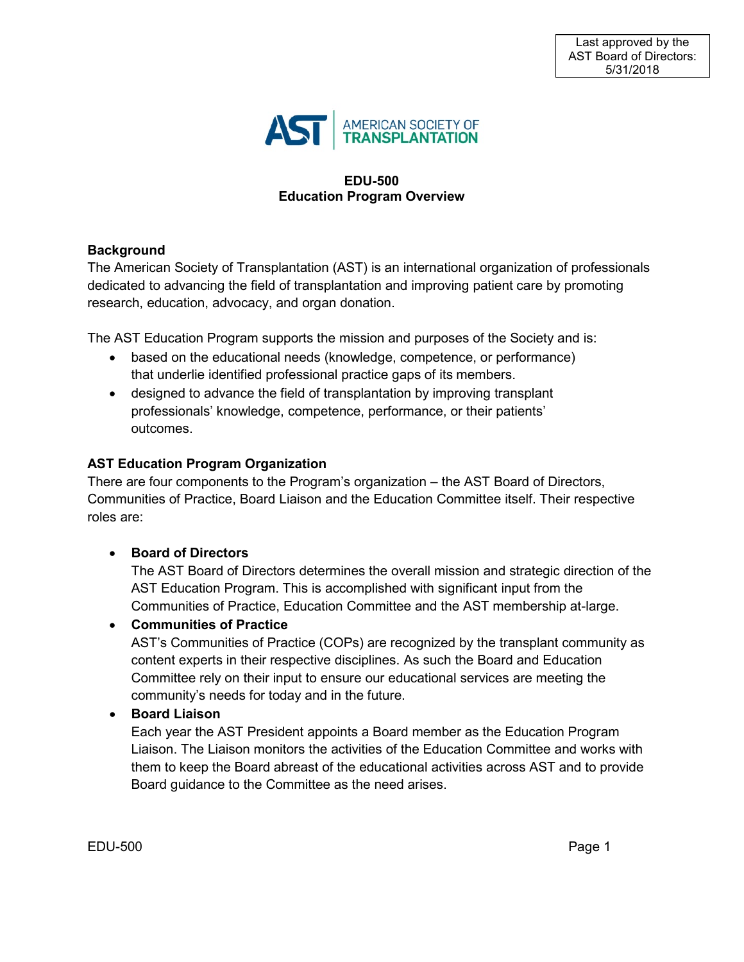

#### **EDU-500 Education Program Overview**

## **Background**

The American Society of Transplantation (AST) is an international organization of professionals dedicated to advancing the field of transplantation and improving patient care by promoting research, education, advocacy, and organ donation.

The AST Education Program supports the mission and purposes of the Society and is:

- based on the educational needs (knowledge, competence, or performance) that underlie identified professional practice gaps of its members.
- designed to advance the field of transplantation by improving transplant professionals' knowledge, competence, performance, or their patients' outcomes.

## **AST Education Program Organization**

There are four components to the Program's organization – the AST Board of Directors, Communities of Practice, Board Liaison and the Education Committee itself. Their respective roles are:

## • **Board of Directors**

The AST Board of Directors determines the overall mission and strategic direction of the AST Education Program. This is accomplished with significant input from the Communities of Practice, Education Committee and the AST membership at-large.

## • **Communities of Practice**

AST's Communities of Practice (COPs) are recognized by the transplant community as content experts in their respective disciplines. As such the Board and Education Committee rely on their input to ensure our educational services are meeting the community's needs for today and in the future.

## • **Board Liaison**

Each year the AST President appoints a Board member as the Education Program Liaison. The Liaison monitors the activities of the Education Committee and works with them to keep the Board abreast of the educational activities across AST and to provide Board guidance to the Committee as the need arises.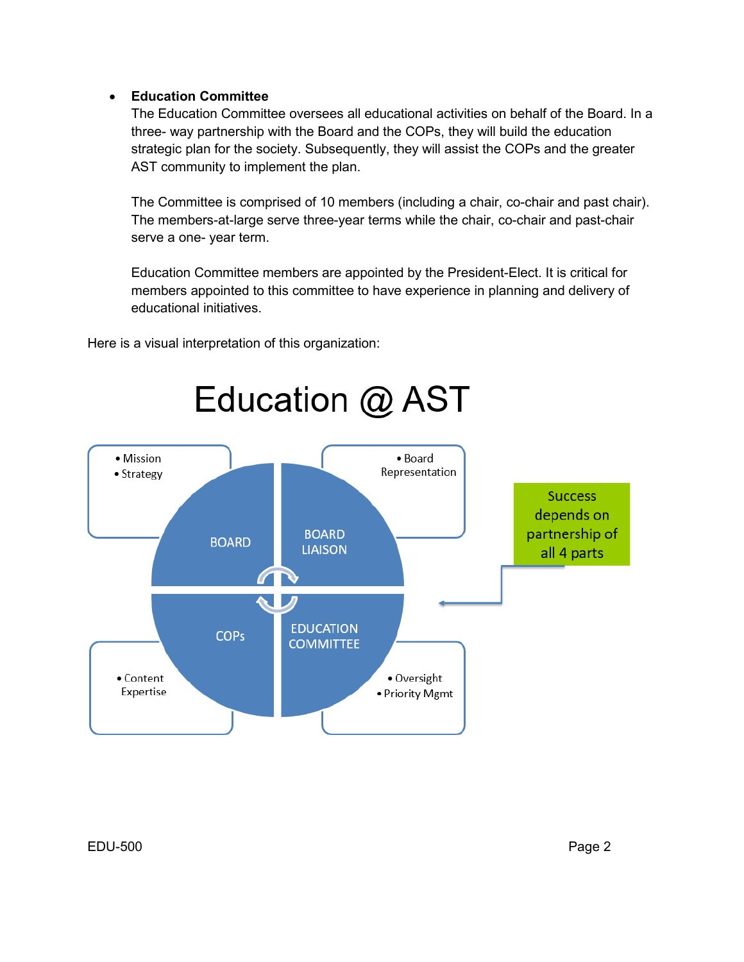## • **Education Committee**

The Education Committee oversees all educational activities on behalf of the Board. In a three- way partnership with the Board and the COPs, they will build the education strategic plan for the society. Subsequently, they will assist the COPs and the greater AST community to implement the plan.

The Committee is comprised of 10 members (including a chair, co-chair and past chair). The members-at-large serve three-year terms while the chair, co-chair and past-chair serve a one- year term.

Education Committee members are appointed by the President-Elect. It is critical for members appointed to this committee to have experience in planning and delivery of educational initiatives.

Here is a visual interpretation of this organization:

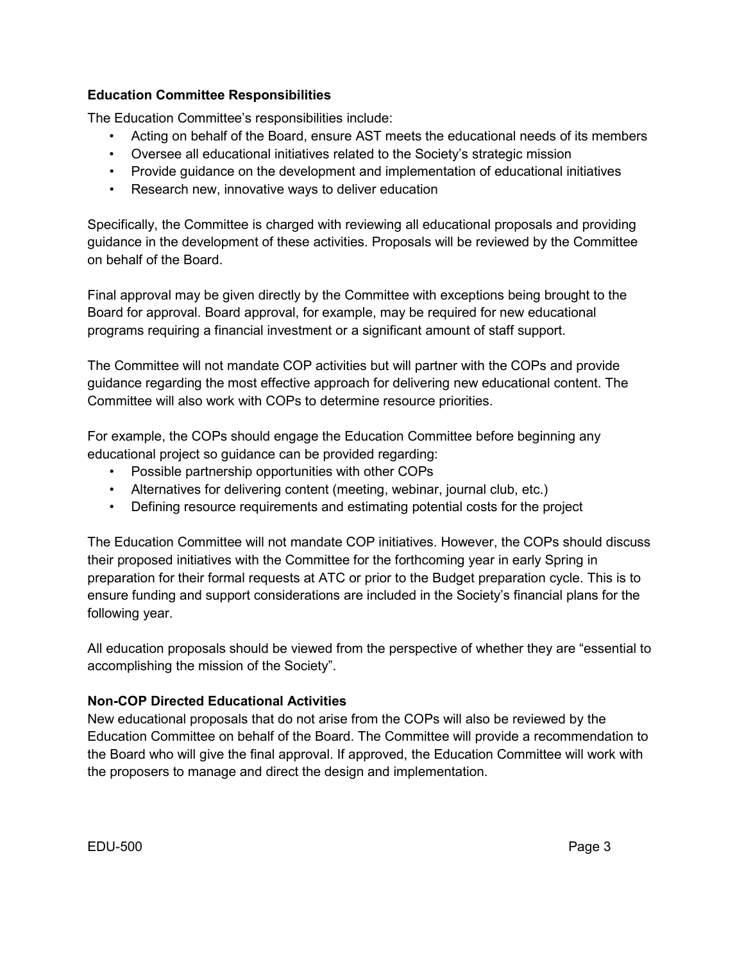## **Education Committee Responsibilities**

The Education Committee's responsibilities include:

- Acting on behalf of the Board, ensure AST meets the educational needs of its members
- Oversee all educational initiatives related to the Society's strategic mission
- Provide guidance on the development and implementation of educational initiatives
- Research new, innovative ways to deliver education

Specifically, the Committee is charged with reviewing all educational proposals and providing guidance in the development of these activities. Proposals will be reviewed by the Committee on behalf of the Board.

Final approval may be given directly by the Committee with exceptions being brought to the Board for approval. Board approval, for example, may be required for new educational programs requiring a financial investment or a significant amount of staff support.

The Committee will not mandate COP activities but will partner with the COPs and provide guidance regarding the most effective approach for delivering new educational content. The Committee will also work with COPs to determine resource priorities.

For example, the COPs should engage the Education Committee before beginning any educational project so guidance can be provided regarding:

- Possible partnership opportunities with other COPs
- Alternatives for delivering content (meeting, webinar, journal club, etc.)
- Defining resource requirements and estimating potential costs for the project

The Education Committee will not mandate COP initiatives. However, the COPs should discuss their proposed initiatives with the Committee for the forthcoming year in early Spring in preparation for their formal requests at ATC or prior to the Budget preparation cycle. This is to ensure funding and support considerations are included in the Society's financial plans for the following year.

All education proposals should be viewed from the perspective of whether they are "essential to accomplishing the mission of the Society".

# **Non-COP Directed Educational Activities**

New educational proposals that do not arise from the COPs will also be reviewed by the Education Committee on behalf of the Board. The Committee will provide a recommendation to the Board who will give the final approval. If approved, the Education Committee will work with the proposers to manage and direct the design and implementation.